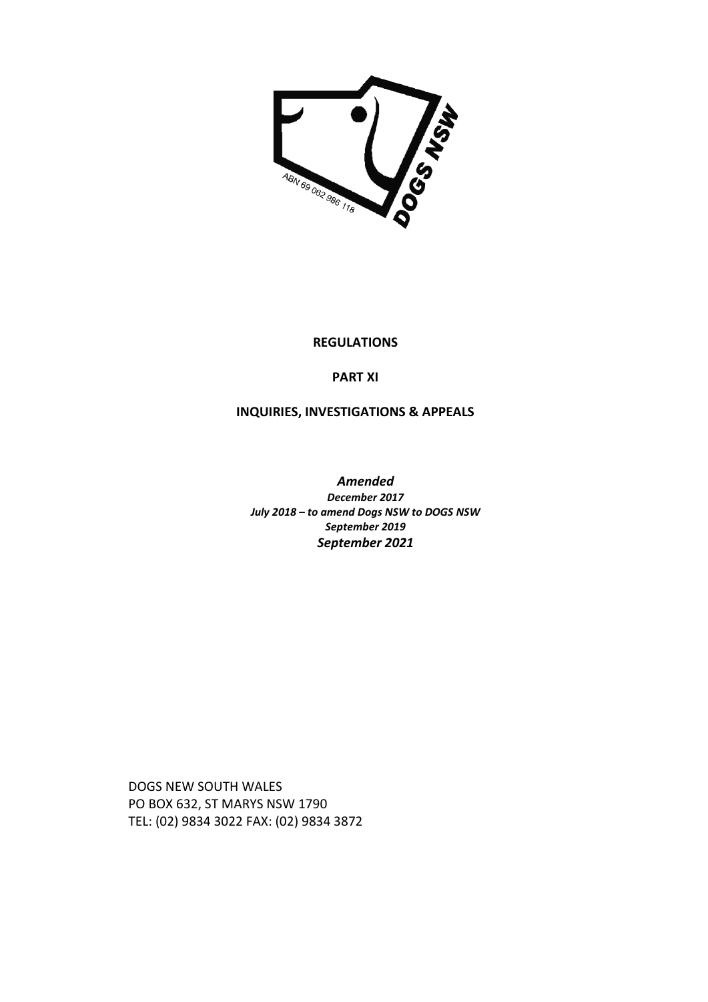

#### **REGULATIONS**

# **PART XI**

# **INQUIRIES, INVESTIGATIONS & APPEALS**

*Amended December 2017 July 2018 – to amend Dogs NSW to DOGS NSW September 2019 September 2021* 

DOGS NEW SOUTH WALES PO BOX 632, ST MARYS NSW 1790 TEL: (02) 9834 3022 FAX: (02) 9834 3872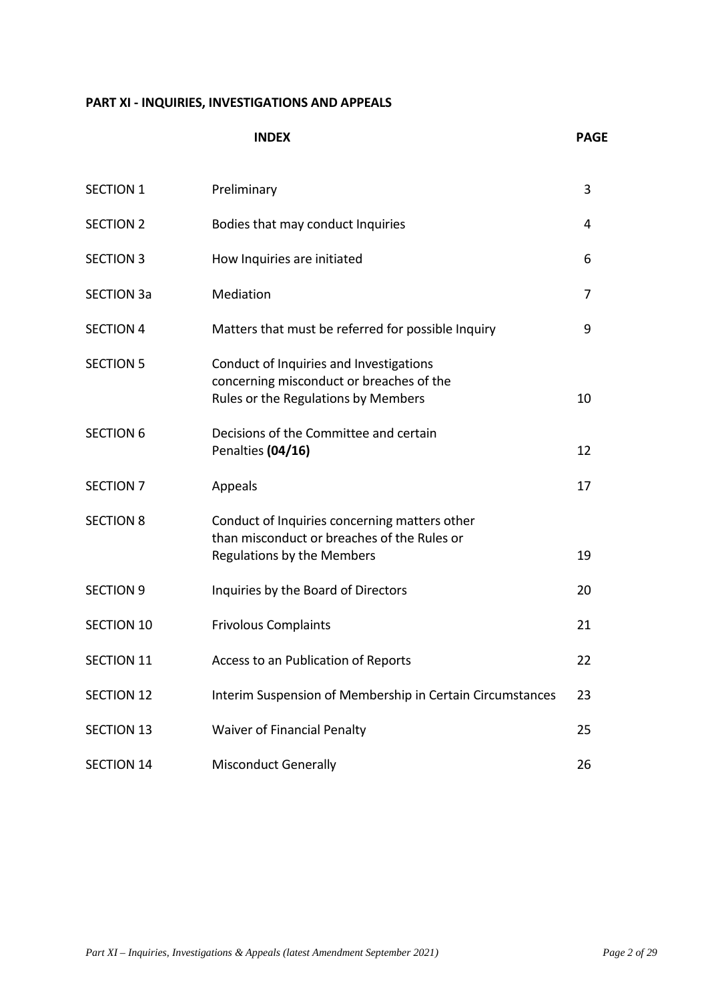# **PART XI - INQUIRIES, INVESTIGATIONS AND APPEALS**

|                   | <b>INDEX</b>                                                                                                                      | <b>PAGE</b> |
|-------------------|-----------------------------------------------------------------------------------------------------------------------------------|-------------|
| <b>SECTION 1</b>  | Preliminary                                                                                                                       | 3           |
| <b>SECTION 2</b>  | Bodies that may conduct Inquiries                                                                                                 | 4           |
| <b>SECTION 3</b>  | How Inquiries are initiated                                                                                                       | 6           |
| <b>SECTION 3a</b> | Mediation                                                                                                                         | 7           |
| <b>SECTION 4</b>  | Matters that must be referred for possible Inquiry                                                                                | 9           |
| <b>SECTION 5</b>  | Conduct of Inquiries and Investigations<br>concerning misconduct or breaches of the<br>Rules or the Regulations by Members        | 10          |
| <b>SECTION 6</b>  | Decisions of the Committee and certain<br>Penalties (04/16)                                                                       | 12          |
| <b>SECTION 7</b>  | Appeals                                                                                                                           | 17          |
| <b>SECTION 8</b>  | Conduct of Inquiries concerning matters other<br>than misconduct or breaches of the Rules or<br><b>Regulations by the Members</b> | 19          |
| <b>SECTION 9</b>  | Inquiries by the Board of Directors                                                                                               | 20          |
| <b>SECTION 10</b> | <b>Frivolous Complaints</b>                                                                                                       | 21          |
| SECTION 11        | Access to an Publication of Reports                                                                                               | 22          |
| <b>SECTION 12</b> | Interim Suspension of Membership in Certain Circumstances                                                                         | 23          |
| <b>SECTION 13</b> | <b>Waiver of Financial Penalty</b>                                                                                                | 25          |
| <b>SECTION 14</b> | <b>Misconduct Generally</b>                                                                                                       | 26          |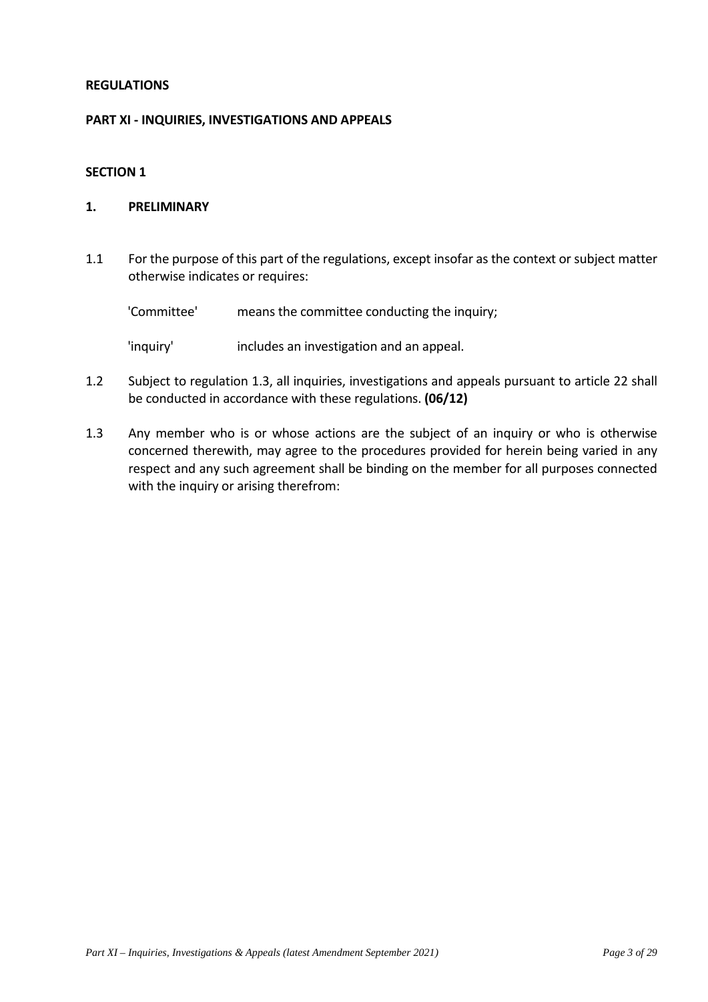# **REGULATIONS**

#### **PART XI - INQUIRIES, INVESTIGATIONS AND APPEALS**

#### **SECTION 1**

## **1. PRELIMINARY**

1.1 For the purpose of this part of the regulations, except insofar as the context or subject matter otherwise indicates or requires:

| 'Committee' | means the committee conducting the inquiry; |
|-------------|---------------------------------------------|
|             |                                             |

'inquiry' includes an investigation and an appeal.

- 1.2 Subject to regulation 1.3, all inquiries, investigations and appeals pursuant to article 22 shall be conducted in accordance with these regulations. **(06/12)**
- 1.3 Any member who is or whose actions are the subject of an inquiry or who is otherwise concerned therewith, may agree to the procedures provided for herein being varied in any respect and any such agreement shall be binding on the member for all purposes connected with the inquiry or arising therefrom: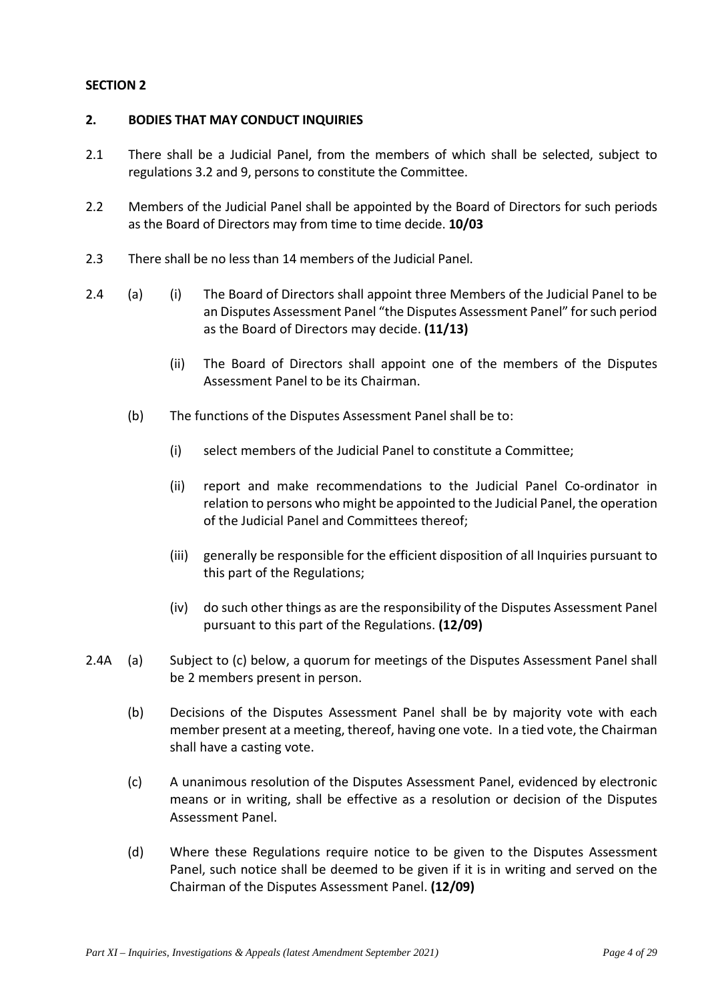## **2. BODIES THAT MAY CONDUCT INQUIRIES**

- 2.1 There shall be a Judicial Panel, from the members of which shall be selected, subject to regulations 3.2 and 9, persons to constitute the Committee.
- 2.2 Members of the Judicial Panel shall be appointed by the Board of Directors for such periods as the Board of Directors may from time to time decide. **10/03**
- 2.3 There shall be no less than 14 members of the Judicial Panel.
- 2.4 (a) (i) The Board of Directors shall appoint three Members of the Judicial Panel to be an Disputes Assessment Panel "the Disputes Assessment Panel" for such period as the Board of Directors may decide. **(11/13)** 
	- (ii) The Board of Directors shall appoint one of the members of the Disputes Assessment Panel to be its Chairman.
	- (b) The functions of the Disputes Assessment Panel shall be to:
		- (i) select members of the Judicial Panel to constitute a Committee;
		- (ii) report and make recommendations to the Judicial Panel Co-ordinator in relation to persons who might be appointed to the Judicial Panel, the operation of the Judicial Panel and Committees thereof;
		- (iii) generally be responsible for the efficient disposition of all Inquiries pursuant to this part of the Regulations;
		- (iv) do such other things as are the responsibility of the Disputes Assessment Panel pursuant to this part of the Regulations. **(12/09)**
- 2.4A (a) Subject to (c) below, a quorum for meetings of the Disputes Assessment Panel shall be 2 members present in person.
	- (b) Decisions of the Disputes Assessment Panel shall be by majority vote with each member present at a meeting, thereof, having one vote. In a tied vote, the Chairman shall have a casting vote.
	- (c) A unanimous resolution of the Disputes Assessment Panel, evidenced by electronic means or in writing, shall be effective as a resolution or decision of the Disputes Assessment Panel.
	- (d) Where these Regulations require notice to be given to the Disputes Assessment Panel, such notice shall be deemed to be given if it is in writing and served on the Chairman of the Disputes Assessment Panel. **(12/09)**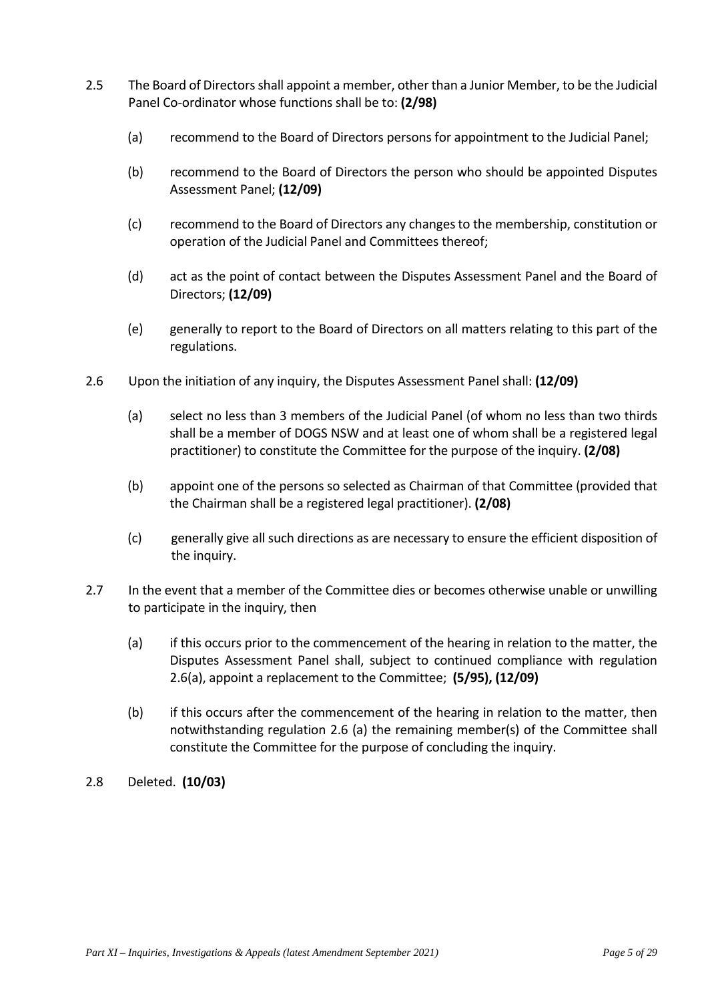- 2.5 The Board of Directors shall appoint a member, other than a Junior Member, to be the Judicial Panel Co-ordinator whose functions shall be to: **(2/98)**
	- (a) recommend to the Board of Directors persons for appointment to the Judicial Panel;
	- (b) recommend to the Board of Directors the person who should be appointed Disputes Assessment Panel; **(12/09)**
	- (c) recommend to the Board of Directors any changes to the membership, constitution or operation of the Judicial Panel and Committees thereof;
	- (d) act as the point of contact between the Disputes Assessment Panel and the Board of Directors; **(12/09)**
	- (e) generally to report to the Board of Directors on all matters relating to this part of the regulations.
- 2.6 Upon the initiation of any inquiry, the Disputes Assessment Panel shall: **(12/09)**
	- (a) select no less than 3 members of the Judicial Panel (of whom no less than two thirds shall be a member of DOGS NSW and at least one of whom shall be a registered legal practitioner) to constitute the Committee for the purpose of the inquiry. **(2/08)**
	- (b) appoint one of the persons so selected as Chairman of that Committee (provided that the Chairman shall be a registered legal practitioner). **(2/08)**
	- (c) generally give all such directions as are necessary to ensure the efficient disposition of the inquiry.
- 2.7 In the event that a member of the Committee dies or becomes otherwise unable or unwilling to participate in the inquiry, then
	- (a) if this occurs prior to the commencement of the hearing in relation to the matter, the Disputes Assessment Panel shall, subject to continued compliance with regulation 2.6(a), appoint a replacement to the Committee; **(5/95), (12/09)**
	- (b) if this occurs after the commencement of the hearing in relation to the matter, then notwithstanding regulation 2.6 (a) the remaining member(s) of the Committee shall constitute the Committee for the purpose of concluding the inquiry.
- 2.8 Deleted. **(10/03)**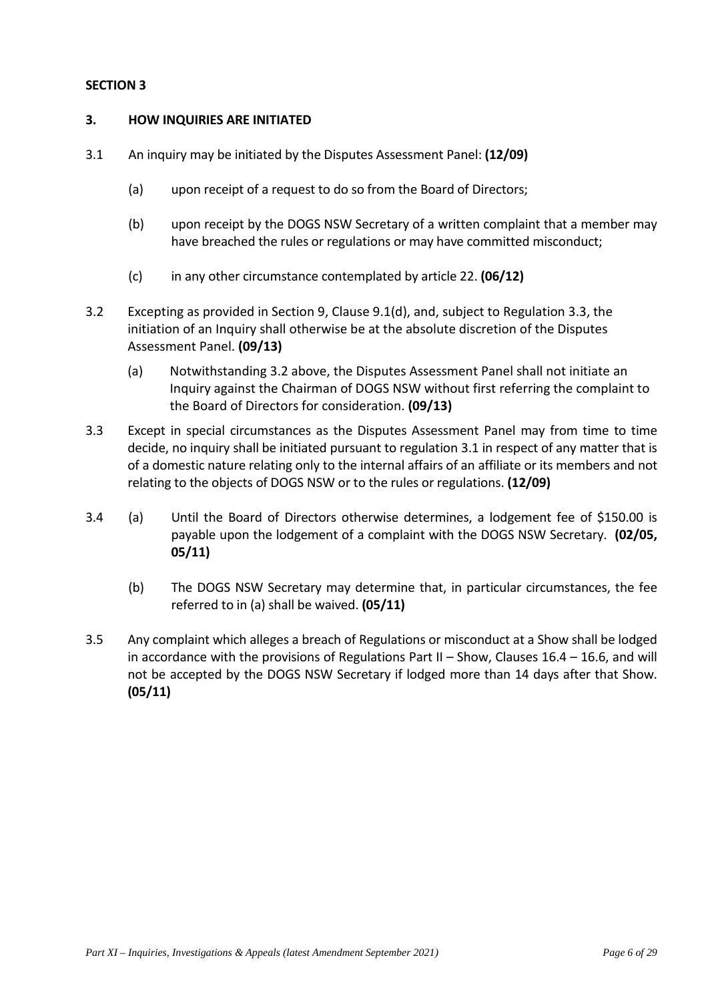## **3. HOW INQUIRIES ARE INITIATED**

- 3.1 An inquiry may be initiated by the Disputes Assessment Panel: **(12/09)**
	- (a) upon receipt of a request to do so from the Board of Directors;
	- (b) upon receipt by the DOGS NSW Secretary of a written complaint that a member may have breached the rules or regulations or may have committed misconduct;
	- (c) in any other circumstance contemplated by article 22. **(06/12)**
- 3.2 Excepting as provided in Section 9, Clause 9.1(d), and, subject to Regulation 3.3, the initiation of an Inquiry shall otherwise be at the absolute discretion of the Disputes Assessment Panel. **(09/13)** 
	- (a) Notwithstanding 3.2 above, the Disputes Assessment Panel shall not initiate an Inquiry against the Chairman of DOGS NSW without first referring the complaint to the Board of Directors for consideration. **(09/13)**
- 3.3 Except in special circumstances as the Disputes Assessment Panel may from time to time decide, no inquiry shall be initiated pursuant to regulation 3.1 in respect of any matter that is of a domestic nature relating only to the internal affairs of an affiliate or its members and not relating to the objects of DOGS NSW or to the rules or regulations. **(12/09)**
- 3.4 (a) Until the Board of Directors otherwise determines, a lodgement fee of \$150.00 is payable upon the lodgement of a complaint with the DOGS NSW Secretary. **(02/05, 05/11)** 
	- (b) The DOGS NSW Secretary may determine that, in particular circumstances, the fee referred to in (a) shall be waived. **(05/11)**
- 3.5 Any complaint which alleges a breach of Regulations or misconduct at a Show shall be lodged in accordance with the provisions of Regulations Part  $II$  – Show, Clauses 16.4 – 16.6, and will not be accepted by the DOGS NSW Secretary if lodged more than 14 days after that Show. **(05/11)**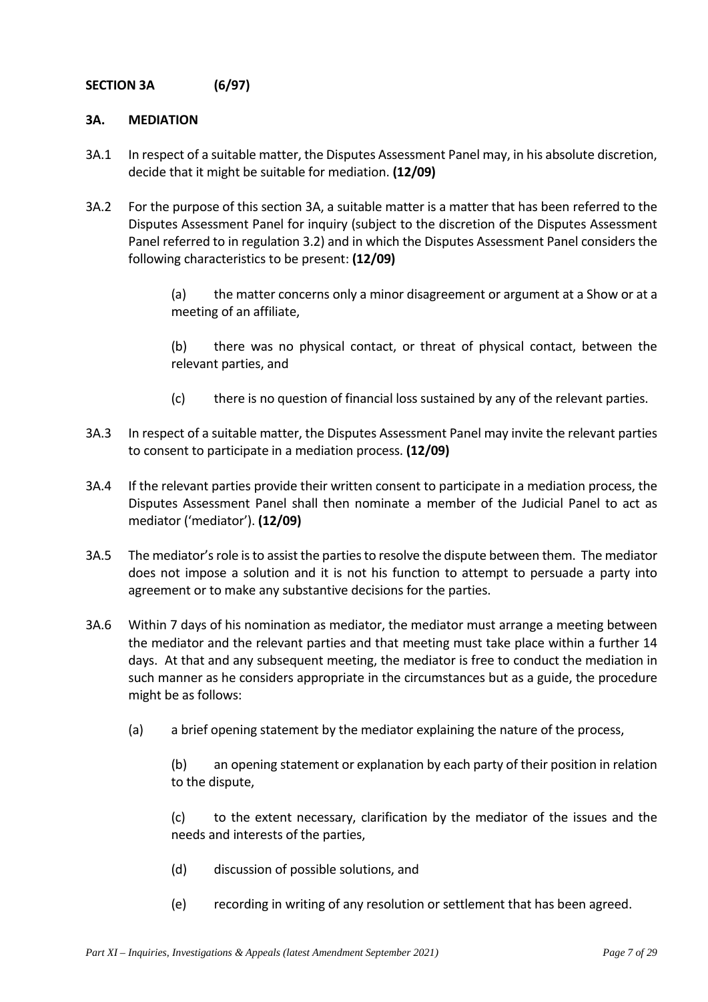# **SECTION 3A (6/97)**

## **3A. MEDIATION**

- 3A.1 In respect of a suitable matter, the Disputes Assessment Panel may, in his absolute discretion, decide that it might be suitable for mediation. **(12/09)**
- 3A.2 For the purpose of this section 3A, a suitable matter is a matter that has been referred to the Disputes Assessment Panel for inquiry (subject to the discretion of the Disputes Assessment Panel referred to in regulation 3.2) and in which the Disputes Assessment Panel considers the following characteristics to be present: **(12/09)**

(a) the matter concerns only a minor disagreement or argument at a Show or at a meeting of an affiliate,

(b) there was no physical contact, or threat of physical contact, between the relevant parties, and

- (c) there is no question of financial loss sustained by any of the relevant parties.
- 3A.3 In respect of a suitable matter, the Disputes Assessment Panel may invite the relevant parties to consent to participate in a mediation process. **(12/09)**
- 3A.4 If the relevant parties provide their written consent to participate in a mediation process, the Disputes Assessment Panel shall then nominate a member of the Judicial Panel to act as mediator ('mediator'). **(12/09)**
- 3A.5 The mediator's role is to assist the parties to resolve the dispute between them. The mediator does not impose a solution and it is not his function to attempt to persuade a party into agreement or to make any substantive decisions for the parties.
- 3A.6 Within 7 days of his nomination as mediator, the mediator must arrange a meeting between the mediator and the relevant parties and that meeting must take place within a further 14 days. At that and any subsequent meeting, the mediator is free to conduct the mediation in such manner as he considers appropriate in the circumstances but as a guide, the procedure might be as follows:
	- (a) a brief opening statement by the mediator explaining the nature of the process,

(b) an opening statement or explanation by each party of their position in relation to the dispute,

(c) to the extent necessary, clarification by the mediator of the issues and the needs and interests of the parties,

- (d) discussion of possible solutions, and
- (e) recording in writing of any resolution or settlement that has been agreed.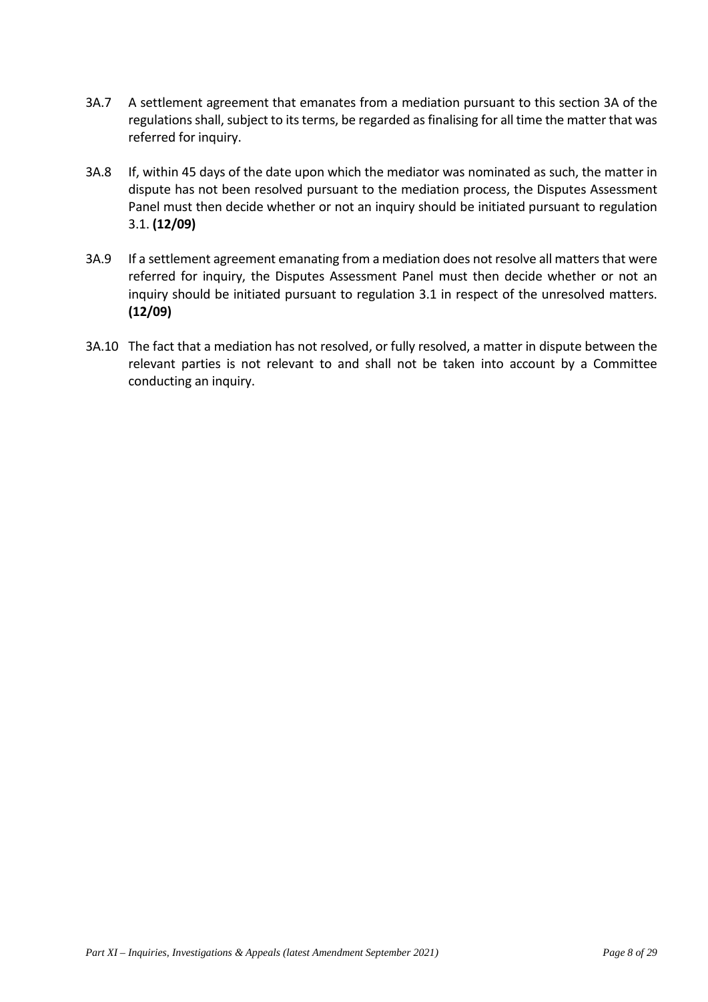- 3A.7 A settlement agreement that emanates from a mediation pursuant to this section 3A of the regulations shall, subject to its terms, be regarded as finalising for all time the matter that was referred for inquiry.
- 3A.8 If, within 45 days of the date upon which the mediator was nominated as such, the matter in dispute has not been resolved pursuant to the mediation process, the Disputes Assessment Panel must then decide whether or not an inquiry should be initiated pursuant to regulation 3.1. **(12/09)**
- 3A.9 If a settlement agreement emanating from a mediation does not resolve all matters that were referred for inquiry, the Disputes Assessment Panel must then decide whether or not an inquiry should be initiated pursuant to regulation 3.1 in respect of the unresolved matters. **(12/09)**
- 3A.10 The fact that a mediation has not resolved, or fully resolved, a matter in dispute between the relevant parties is not relevant to and shall not be taken into account by a Committee conducting an inquiry.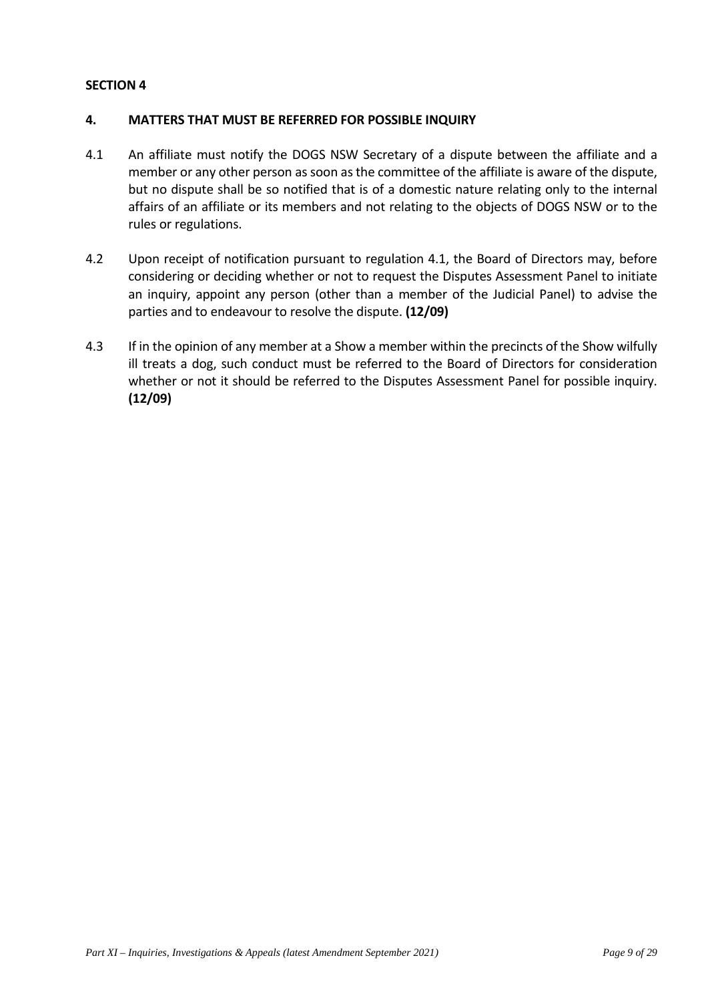# **4. MATTERS THAT MUST BE REFERRED FOR POSSIBLE INQUIRY**

- 4.1 An affiliate must notify the DOGS NSW Secretary of a dispute between the affiliate and a member or any other person as soon as the committee of the affiliate is aware of the dispute, but no dispute shall be so notified that is of a domestic nature relating only to the internal affairs of an affiliate or its members and not relating to the objects of DOGS NSW or to the rules or regulations.
- 4.2 Upon receipt of notification pursuant to regulation 4.1, the Board of Directors may, before considering or deciding whether or not to request the Disputes Assessment Panel to initiate an inquiry, appoint any person (other than a member of the Judicial Panel) to advise the parties and to endeavour to resolve the dispute. **(12/09)**
- 4.3 If in the opinion of any member at a Show a member within the precincts of the Show wilfully ill treats a dog, such conduct must be referred to the Board of Directors for consideration whether or not it should be referred to the Disputes Assessment Panel for possible inquiry. **(12/09)**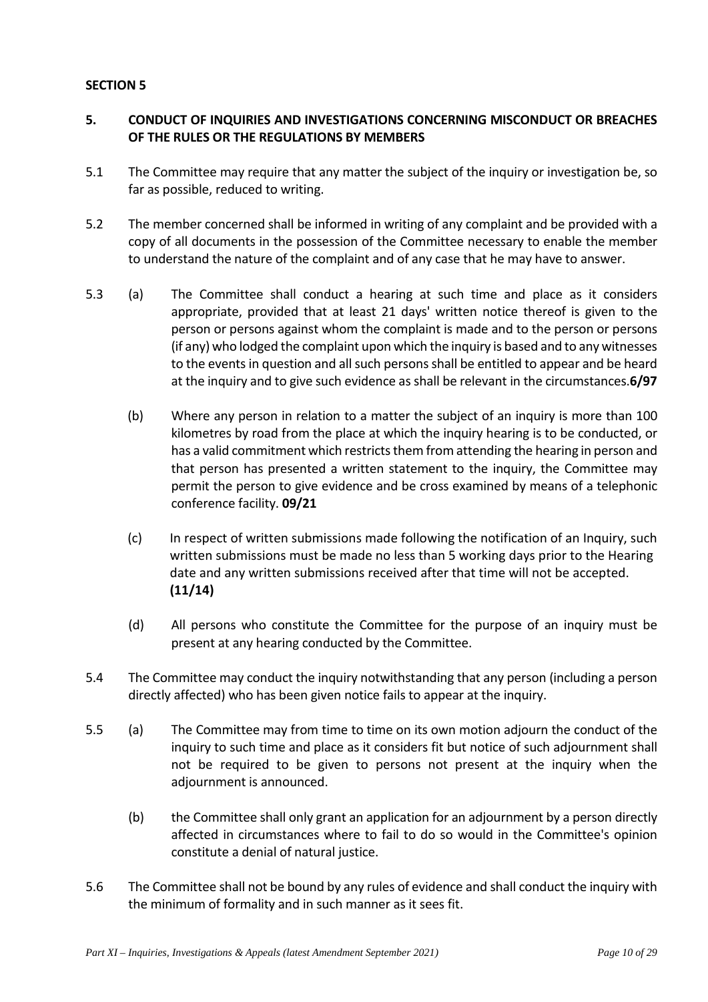# **5. CONDUCT OF INQUIRIES AND INVESTIGATIONS CONCERNING MISCONDUCT OR BREACHES OF THE RULES OR THE REGULATIONS BY MEMBERS**

- 5.1 The Committee may require that any matter the subject of the inquiry or investigation be, so far as possible, reduced to writing.
- 5.2 The member concerned shall be informed in writing of any complaint and be provided with a copy of all documents in the possession of the Committee necessary to enable the member to understand the nature of the complaint and of any case that he may have to answer.
- 5.3 (a) The Committee shall conduct a hearing at such time and place as it considers appropriate, provided that at least 21 days' written notice thereof is given to the person or persons against whom the complaint is made and to the person or persons (if any) who lodged the complaint upon which the inquiry is based and to any witnesses to the events in question and all such persons shall be entitled to appear and be heard at the inquiry and to give such evidence as shall be relevant in the circumstances.**6/97**
	- (b) Where any person in relation to a matter the subject of an inquiry is more than 100 kilometres by road from the place at which the inquiry hearing is to be conducted, or has a valid commitment which restricts them from attending the hearing in person and that person has presented a written statement to the inquiry, the Committee may permit the person to give evidence and be cross examined by means of a telephonic conference facility. **09/21**
	- (c) In respect of written submissions made following the notification of an Inquiry, such written submissions must be made no less than 5 working days prior to the Hearing date and any written submissions received after that time will not be accepted. **(11/14)**
	- (d) All persons who constitute the Committee for the purpose of an inquiry must be present at any hearing conducted by the Committee.
- 5.4 The Committee may conduct the inquiry notwithstanding that any person (including a person directly affected) who has been given notice fails to appear at the inquiry.
- 5.5 (a) The Committee may from time to time on its own motion adjourn the conduct of the inquiry to such time and place as it considers fit but notice of such adjournment shall not be required to be given to persons not present at the inquiry when the adjournment is announced.
	- (b) the Committee shall only grant an application for an adjournment by a person directly affected in circumstances where to fail to do so would in the Committee's opinion constitute a denial of natural justice.
- 5.6 The Committee shall not be bound by any rules of evidence and shall conduct the inquiry with the minimum of formality and in such manner as it sees fit.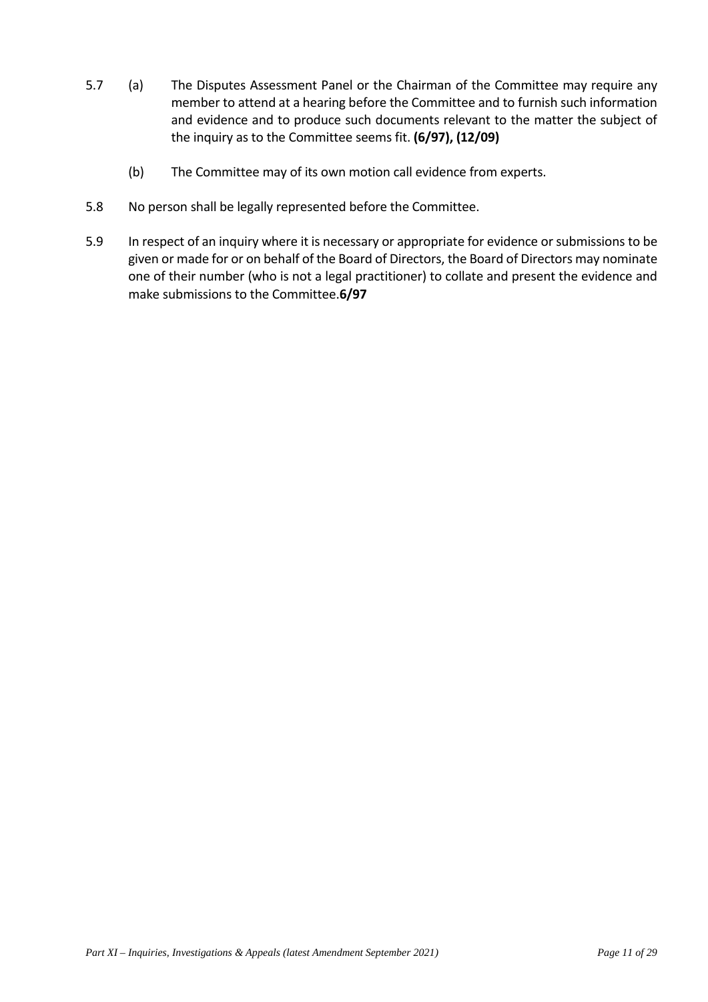- 5.7 (a) The Disputes Assessment Panel or the Chairman of the Committee may require any member to attend at a hearing before the Committee and to furnish such information and evidence and to produce such documents relevant to the matter the subject of the inquiry as to the Committee seems fit. **(6/97), (12/09)**
	- (b) The Committee may of its own motion call evidence from experts.
- 5.8 No person shall be legally represented before the Committee.
- 5.9 In respect of an inquiry where it is necessary or appropriate for evidence or submissions to be given or made for or on behalf of the Board of Directors, the Board of Directors may nominate one of their number (who is not a legal practitioner) to collate and present the evidence and make submissions to the Committee.**6/97**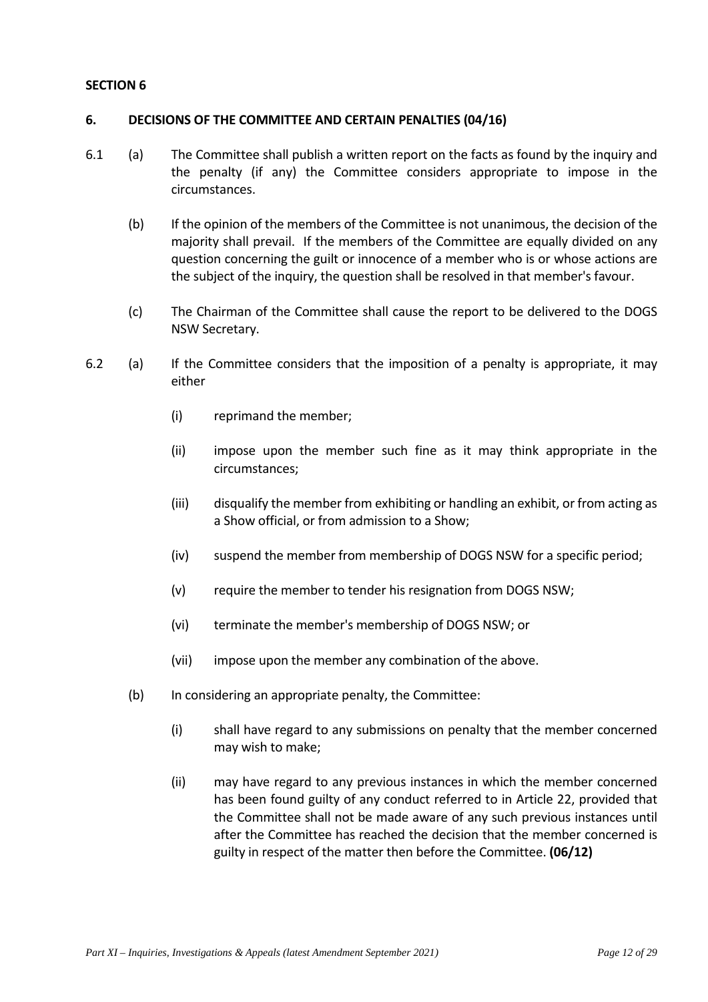## **6. DECISIONS OF THE COMMITTEE AND CERTAIN PENALTIES (04/16)**

- 6.1 (a) The Committee shall publish a written report on the facts as found by the inquiry and the penalty (if any) the Committee considers appropriate to impose in the circumstances.
	- (b) If the opinion of the members of the Committee is not unanimous, the decision of the majority shall prevail. If the members of the Committee are equally divided on any question concerning the guilt or innocence of a member who is or whose actions are the subject of the inquiry, the question shall be resolved in that member's favour.
	- (c) The Chairman of the Committee shall cause the report to be delivered to the DOGS NSW Secretary.
- 6.2 (a) If the Committee considers that the imposition of a penalty is appropriate, it may either
	- (i) reprimand the member;
	- (ii) impose upon the member such fine as it may think appropriate in the circumstances;
	- (iii) disqualify the member from exhibiting or handling an exhibit, or from acting as a Show official, or from admission to a Show;
	- (iv) suspend the member from membership of DOGS NSW for a specific period;
	- (v) require the member to tender his resignation from DOGS NSW;
	- (vi) terminate the member's membership of DOGS NSW; or
	- (vii) impose upon the member any combination of the above.
	- (b) In considering an appropriate penalty, the Committee:
		- (i) shall have regard to any submissions on penalty that the member concerned may wish to make;
		- (ii) may have regard to any previous instances in which the member concerned has been found guilty of any conduct referred to in Article 22, provided that the Committee shall not be made aware of any such previous instances until after the Committee has reached the decision that the member concerned is guilty in respect of the matter then before the Committee. **(06/12)**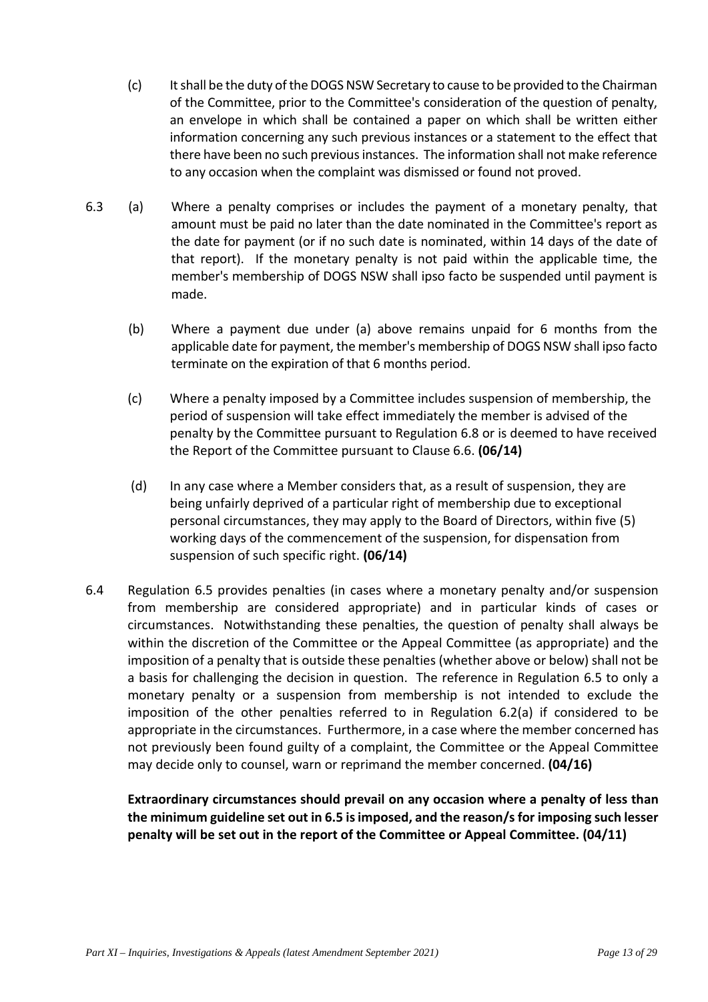- (c) It shall be the duty of the DOGS NSW Secretary to cause to be provided to the Chairman of the Committee, prior to the Committee's consideration of the question of penalty, an envelope in which shall be contained a paper on which shall be written either information concerning any such previous instances or a statement to the effect that there have been no such previous instances. The information shall not make reference to any occasion when the complaint was dismissed or found not proved.
- 6.3 (a) Where a penalty comprises or includes the payment of a monetary penalty, that amount must be paid no later than the date nominated in the Committee's report as the date for payment (or if no such date is nominated, within 14 days of the date of that report). If the monetary penalty is not paid within the applicable time, the member's membership of DOGS NSW shall ipso facto be suspended until payment is made.
	- (b) Where a payment due under (a) above remains unpaid for 6 months from the applicable date for payment, the member's membership of DOGS NSW shall ipso facto terminate on the expiration of that 6 months period.
	- (c) Where a penalty imposed by a Committee includes suspension of membership, the period of suspension will take effect immediately the member is advised of the penalty by the Committee pursuant to Regulation 6.8 or is deemed to have received the Report of the Committee pursuant to Clause 6.6. **(06/14)**
	- (d) In any case where a Member considers that, as a result of suspension, they are being unfairly deprived of a particular right of membership due to exceptional personal circumstances, they may apply to the Board of Directors, within five (5) working days of the commencement of the suspension, for dispensation from suspension of such specific right. **(06/14)**
- 6.4 Regulation 6.5 provides penalties (in cases where a monetary penalty and/or suspension from membership are considered appropriate) and in particular kinds of cases or circumstances. Notwithstanding these penalties, the question of penalty shall always be within the discretion of the Committee or the Appeal Committee (as appropriate) and the imposition of a penalty that is outside these penalties (whether above or below) shall not be a basis for challenging the decision in question. The reference in Regulation 6.5 to only a monetary penalty or a suspension from membership is not intended to exclude the imposition of the other penalties referred to in Regulation 6.2(a) if considered to be appropriate in the circumstances. Furthermore, in a case where the member concerned has not previously been found guilty of a complaint, the Committee or the Appeal Committee may decide only to counsel, warn or reprimand the member concerned. **(04/16)**

**Extraordinary circumstances should prevail on any occasion where a penalty of less than the minimum guideline set out in 6.5 is imposed, and the reason/s for imposing such lesser penalty will be set out in the report of the Committee or Appeal Committee. (04/11)** 

*Part XI – Inquiries, Investigations & Appeals (latest Amendment September 2021) Page 13 of 29*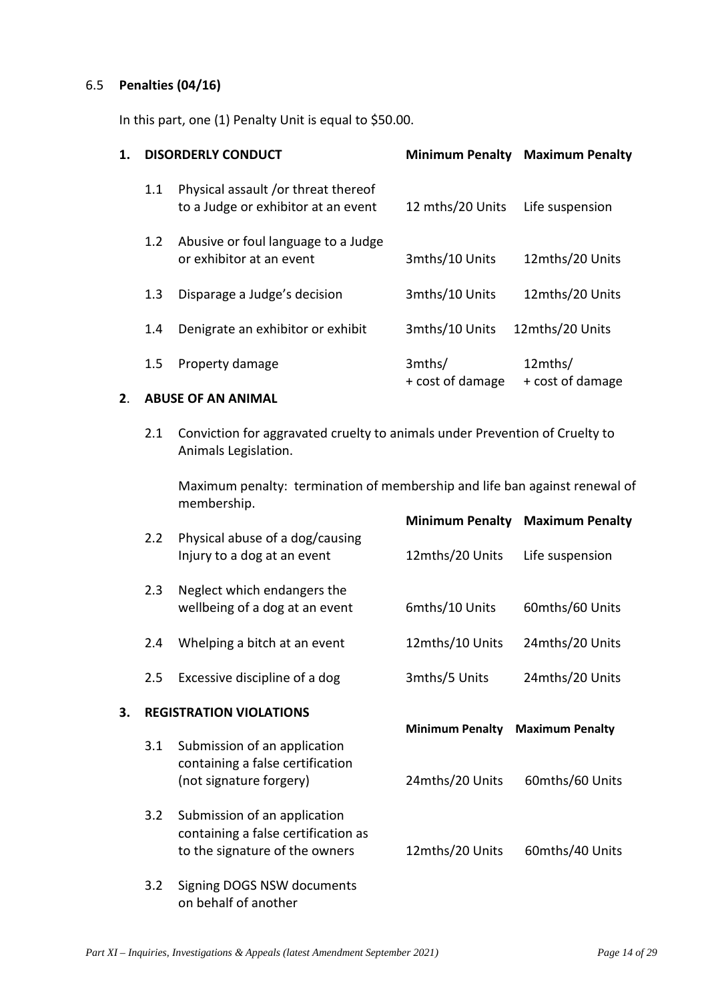# 6.5 **Penalties (04/16)**

In this part, one (1) Penalty Unit is equal to \$50.00.

| <b>DISORDERLY CONDUCT</b> |                                                                            | <b>Minimum Penalty</b>     | <b>Maximum Penalty</b>      |  |
|---------------------------|----------------------------------------------------------------------------|----------------------------|-----------------------------|--|
| 1.1                       | Physical assault /or threat thereof<br>to a Judge or exhibitor at an event | 12 mths/20 Units           | Life suspension             |  |
| 1.2                       | Abusive or foul language to a Judge<br>or exhibitor at an event            | 3mths/10 Units             | 12mths/20 Units             |  |
| 1.3                       | Disparage a Judge's decision                                               | 3mths/10 Units             | 12mths/20 Units             |  |
| 1.4                       | Denigrate an exhibitor or exhibit                                          | 3mths/10 Units             | 12mths/20 Units             |  |
| 1.5                       | Property damage                                                            | 3mths/<br>+ cost of damage | 12mths/<br>+ cost of damage |  |
|                           |                                                                            |                            |                             |  |

# **2**. **ABUSE OF AN ANIMAL**

2.1 Conviction for aggravated cruelty to animals under Prevention of Cruelty to Animals Legislation.

Maximum penalty: termination of membership and life ban against renewal of membership.

|    |     |                                                                                                       |                                           | <b>Minimum Penalty Maximum Penalty</b>    |
|----|-----|-------------------------------------------------------------------------------------------------------|-------------------------------------------|-------------------------------------------|
|    | 2.2 | Physical abuse of a dog/causing<br>Injury to a dog at an event                                        | 12mths/20 Units                           | Life suspension                           |
|    | 2.3 | Neglect which endangers the<br>wellbeing of a dog at an event                                         | 6mths/10 Units                            | 60mths/60 Units                           |
|    | 2.4 | Whelping a bitch at an event                                                                          | 12mths/10 Units                           | 24mths/20 Units                           |
|    | 2.5 | Excessive discipline of a dog                                                                         | 3mths/5 Units                             | 24mths/20 Units                           |
|    |     |                                                                                                       |                                           |                                           |
| 3. |     | <b>REGISTRATION VIOLATIONS</b>                                                                        |                                           |                                           |
|    | 3.1 | Submission of an application<br>containing a false certification<br>(not signature forgery)           | <b>Minimum Penalty</b><br>24mths/20 Units | <b>Maximum Penalty</b><br>60mths/60 Units |
|    | 3.2 | Submission of an application<br>containing a false certification as<br>to the signature of the owners | 12mths/20 Units                           | 60mths/40 Units                           |

on behalf of another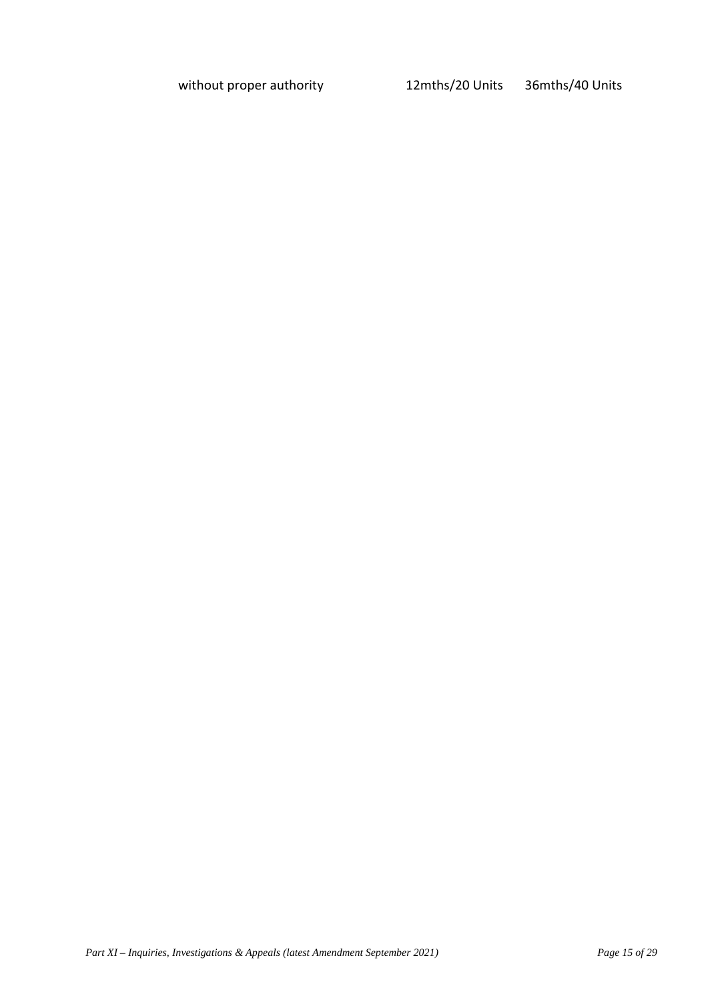without proper authority 12mths/20 Units 36mths/40 Units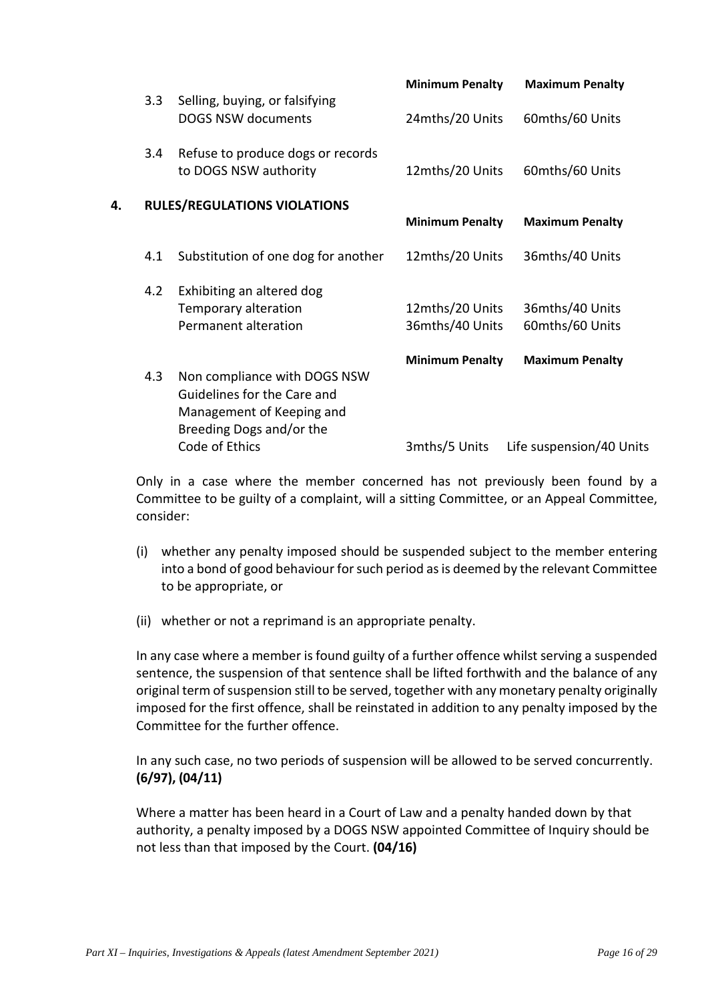|    |     |                                                             | <b>Minimum Penalty</b> | <b>Maximum Penalty</b>   |
|----|-----|-------------------------------------------------------------|------------------------|--------------------------|
|    | 3.3 | Selling, buying, or falsifying<br><b>DOGS NSW documents</b> | 24mths/20 Units        | 60mths/60 Units          |
|    | 3.4 | Refuse to produce dogs or records<br>to DOGS NSW authority  | 12mths/20 Units        | 60mths/60 Units          |
| 4. |     | <b>RULES/REGULATIONS VIOLATIONS</b>                         |                        |                          |
|    |     |                                                             | <b>Minimum Penalty</b> | <b>Maximum Penalty</b>   |
|    | 4.1 | Substitution of one dog for another                         | 12mths/20 Units        | 36mths/40 Units          |
|    | 4.2 | Exhibiting an altered dog                                   |                        |                          |
|    |     | Temporary alteration                                        | 12mths/20 Units        | 36mths/40 Units          |
|    |     | Permanent alteration                                        | 36mths/40 Units        | 60mths/60 Units          |
|    |     |                                                             | <b>Minimum Penalty</b> | <b>Maximum Penalty</b>   |
|    | 4.3 | Non compliance with DOGS NSW                                |                        |                          |
|    |     | Guidelines for the Care and                                 |                        |                          |
|    |     | Management of Keeping and                                   |                        |                          |
|    |     | Breeding Dogs and/or the                                    |                        |                          |
|    |     | Code of Ethics                                              | 3mths/5 Units          | Life suspension/40 Units |

Only in a case where the member concerned has not previously been found by a Committee to be guilty of a complaint, will a sitting Committee, or an Appeal Committee, consider:

- (i) whether any penalty imposed should be suspended subject to the member entering into a bond of good behaviour for such period as is deemed by the relevant Committee to be appropriate, or
- (ii) whether or not a reprimand is an appropriate penalty.

In any case where a member is found guilty of a further offence whilst serving a suspended sentence, the suspension of that sentence shall be lifted forthwith and the balance of any original term of suspension still to be served, together with any monetary penalty originally imposed for the first offence, shall be reinstated in addition to any penalty imposed by the Committee for the further offence.

In any such case, no two periods of suspension will be allowed to be served concurrently. **(6/97), (04/11)**

Where a matter has been heard in a Court of Law and a penalty handed down by that authority, a penalty imposed by a DOGS NSW appointed Committee of Inquiry should be not less than that imposed by the Court. **(04/16)**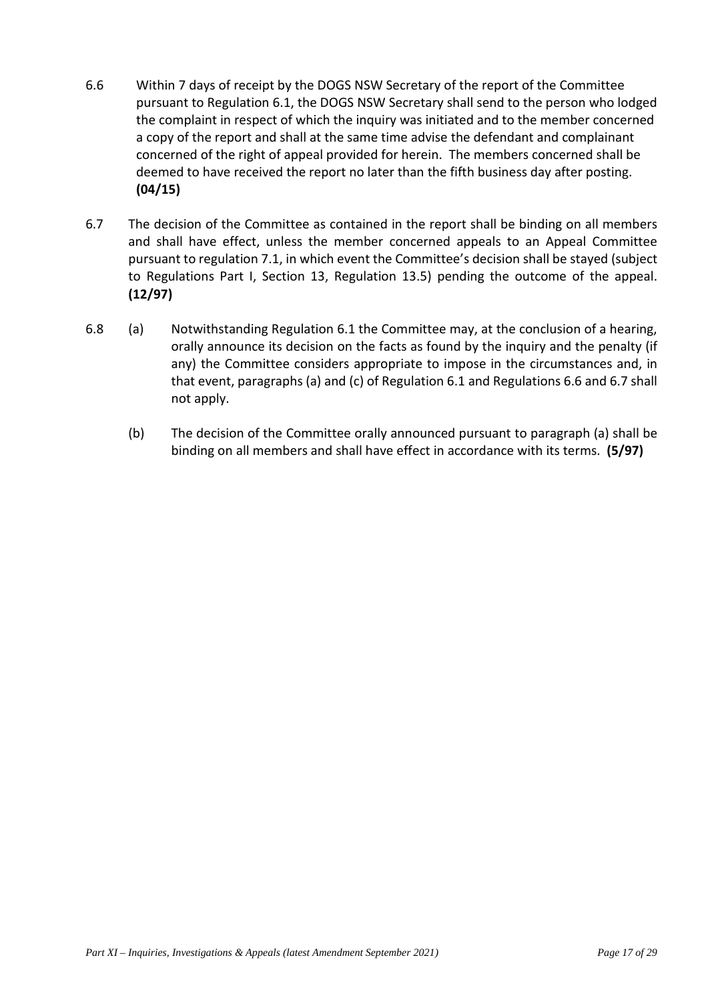- 6.6 Within 7 days of receipt by the DOGS NSW Secretary of the report of the Committee pursuant to Regulation 6.1, the DOGS NSW Secretary shall send to the person who lodged the complaint in respect of which the inquiry was initiated and to the member concerned a copy of the report and shall at the same time advise the defendant and complainant concerned of the right of appeal provided for herein. The members concerned shall be deemed to have received the report no later than the fifth business day after posting. **(04/15)**
- 6.7 The decision of the Committee as contained in the report shall be binding on all members and shall have effect, unless the member concerned appeals to an Appeal Committee pursuant to regulation 7.1, in which event the Committee's decision shall be stayed (subject to Regulations Part I, Section 13, Regulation 13.5) pending the outcome of the appeal. **(12/97)**
- 6.8 (a) Notwithstanding Regulation 6.1 the Committee may, at the conclusion of a hearing, orally announce its decision on the facts as found by the inquiry and the penalty (if any) the Committee considers appropriate to impose in the circumstances and, in that event, paragraphs (a) and (c) of Regulation 6.1 and Regulations 6.6 and 6.7 shall not apply.
	- (b) The decision of the Committee orally announced pursuant to paragraph (a) shall be binding on all members and shall have effect in accordance with its terms. **(5/97)**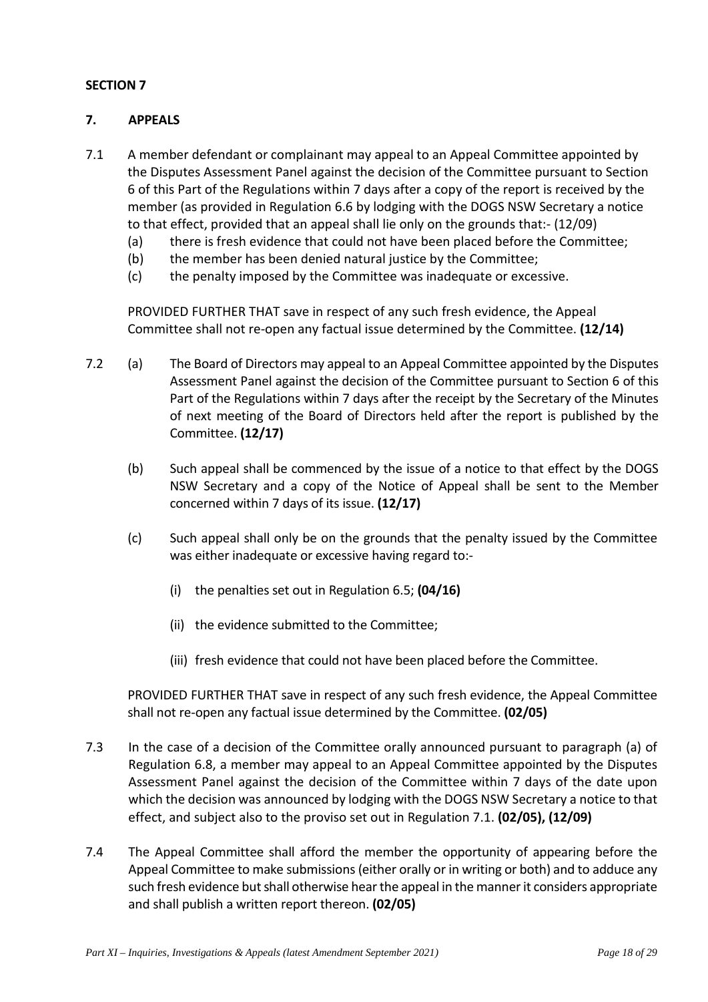# **7. APPEALS**

- 7.1 A member defendant or complainant may appeal to an Appeal Committee appointed by the Disputes Assessment Panel against the decision of the Committee pursuant to Section 6 of this Part of the Regulations within 7 days after a copy of the report is received by the member (as provided in Regulation 6.6 by lodging with the DOGS NSW Secretary a notice to that effect, provided that an appeal shall lie only on the grounds that:- (12/09)
	- (a) there is fresh evidence that could not have been placed before the Committee;
	- (b) the member has been denied natural justice by the Committee;
	- (c) the penalty imposed by the Committee was inadequate or excessive.

PROVIDED FURTHER THAT save in respect of any such fresh evidence, the Appeal Committee shall not re-open any factual issue determined by the Committee. **(12/14)**

- 7.2 (a) The Board of Directors may appeal to an Appeal Committee appointed by the Disputes Assessment Panel against the decision of the Committee pursuant to Section 6 of this Part of the Regulations within 7 days after the receipt by the Secretary of the Minutes of next meeting of the Board of Directors held after the report is published by the Committee. **(12/17)**
	- (b) Such appeal shall be commenced by the issue of a notice to that effect by the DOGS NSW Secretary and a copy of the Notice of Appeal shall be sent to the Member concerned within 7 days of its issue. **(12/17)**
	- (c) Such appeal shall only be on the grounds that the penalty issued by the Committee was either inadequate or excessive having regard to:-
		- (i) the penalties set out in Regulation 6.5; **(04/16)**
		- (ii) the evidence submitted to the Committee;
		- (iii) fresh evidence that could not have been placed before the Committee.

PROVIDED FURTHER THAT save in respect of any such fresh evidence, the Appeal Committee shall not re-open any factual issue determined by the Committee. **(02/05)**

- 7.3 In the case of a decision of the Committee orally announced pursuant to paragraph (a) of Regulation 6.8, a member may appeal to an Appeal Committee appointed by the Disputes Assessment Panel against the decision of the Committee within 7 days of the date upon which the decision was announced by lodging with the DOGS NSW Secretary a notice to that effect, and subject also to the proviso set out in Regulation 7.1. **(02/05), (12/09)**
- 7.4 The Appeal Committee shall afford the member the opportunity of appearing before the Appeal Committee to make submissions (either orally or in writing or both) and to adduce any such fresh evidence but shall otherwise hear the appeal in the manner it considers appropriate and shall publish a written report thereon. **(02/05)**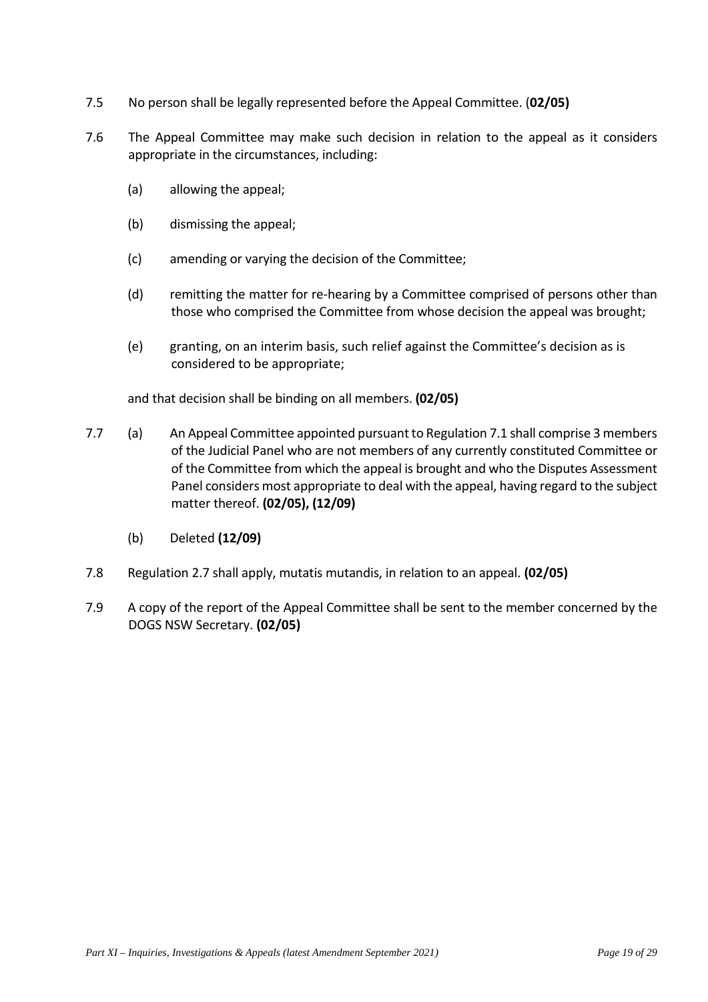- 7.5 No person shall be legally represented before the Appeal Committee. (**02/05)**
- 7.6 The Appeal Committee may make such decision in relation to the appeal as it considers appropriate in the circumstances, including:
	- (a) allowing the appeal;
	- (b) dismissing the appeal;
	- (c) amending or varying the decision of the Committee;
	- (d) remitting the matter for re-hearing by a Committee comprised of persons other than those who comprised the Committee from whose decision the appeal was brought;
	- (e) granting, on an interim basis, such relief against the Committee's decision as is considered to be appropriate;

and that decision shall be binding on all members. **(02/05)**

- 7.7 (a) An Appeal Committee appointed pursuant to Regulation 7.1 shall comprise 3 members of the Judicial Panel who are not members of any currently constituted Committee or of the Committee from which the appeal is brought and who the Disputes Assessment Panel considers most appropriate to deal with the appeal, having regard to the subject matter thereof. **(02/05), (12/09)** 
	- (b) Deleted **(12/09)**
- 7.8 Regulation 2.7 shall apply, mutatis mutandis, in relation to an appeal. **(02/05)**
- 7.9 A copy of the report of the Appeal Committee shall be sent to the member concerned by the DOGS NSW Secretary. **(02/05)**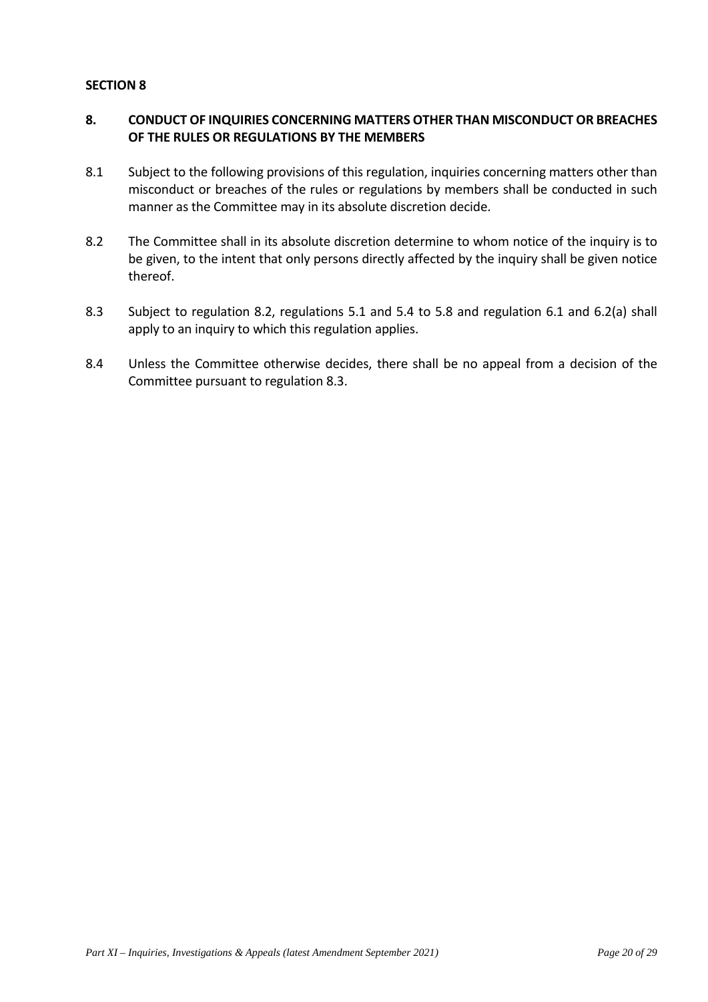# **8. CONDUCT OF INQUIRIES CONCERNING MATTERS OTHER THAN MISCONDUCT OR BREACHES OF THE RULES OR REGULATIONS BY THE MEMBERS**

- 8.1 Subject to the following provisions of this regulation, inquiries concerning matters other than misconduct or breaches of the rules or regulations by members shall be conducted in such manner as the Committee may in its absolute discretion decide.
- 8.2 The Committee shall in its absolute discretion determine to whom notice of the inquiry is to be given, to the intent that only persons directly affected by the inquiry shall be given notice thereof.
- 8.3 Subject to regulation 8.2, regulations 5.1 and 5.4 to 5.8 and regulation 6.1 and 6.2(a) shall apply to an inquiry to which this regulation applies.
- 8.4 Unless the Committee otherwise decides, there shall be no appeal from a decision of the Committee pursuant to regulation 8.3.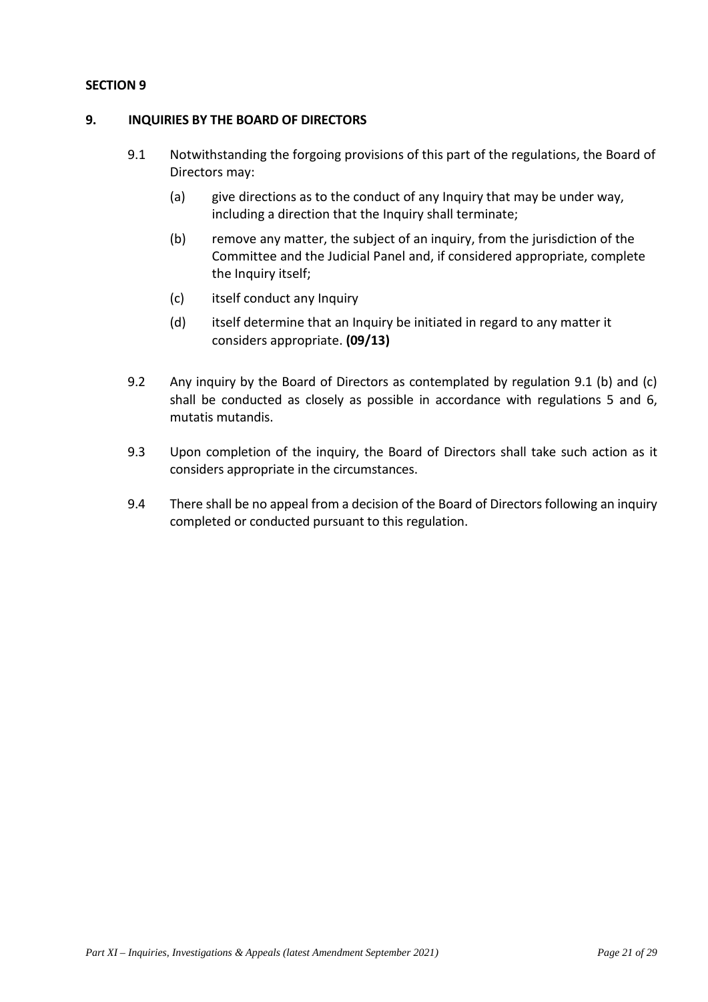# **9. INQUIRIES BY THE BOARD OF DIRECTORS**

- 9.1 Notwithstanding the forgoing provisions of this part of the regulations, the Board of Directors may:
	- (a) give directions as to the conduct of any Inquiry that may be under way, including a direction that the Inquiry shall terminate;
	- (b) remove any matter, the subject of an inquiry, from the jurisdiction of the Committee and the Judicial Panel and, if considered appropriate, complete the Inquiry itself;
	- (c) itself conduct any Inquiry
	- (d) itself determine that an Inquiry be initiated in regard to any matter it considers appropriate. **(09/13)**
- 9.2 Any inquiry by the Board of Directors as contemplated by regulation 9.1 (b) and (c) shall be conducted as closely as possible in accordance with regulations 5 and 6, mutatis mutandis.
- 9.3 Upon completion of the inquiry, the Board of Directors shall take such action as it considers appropriate in the circumstances.
- 9.4 There shall be no appeal from a decision of the Board of Directors following an inquiry completed or conducted pursuant to this regulation.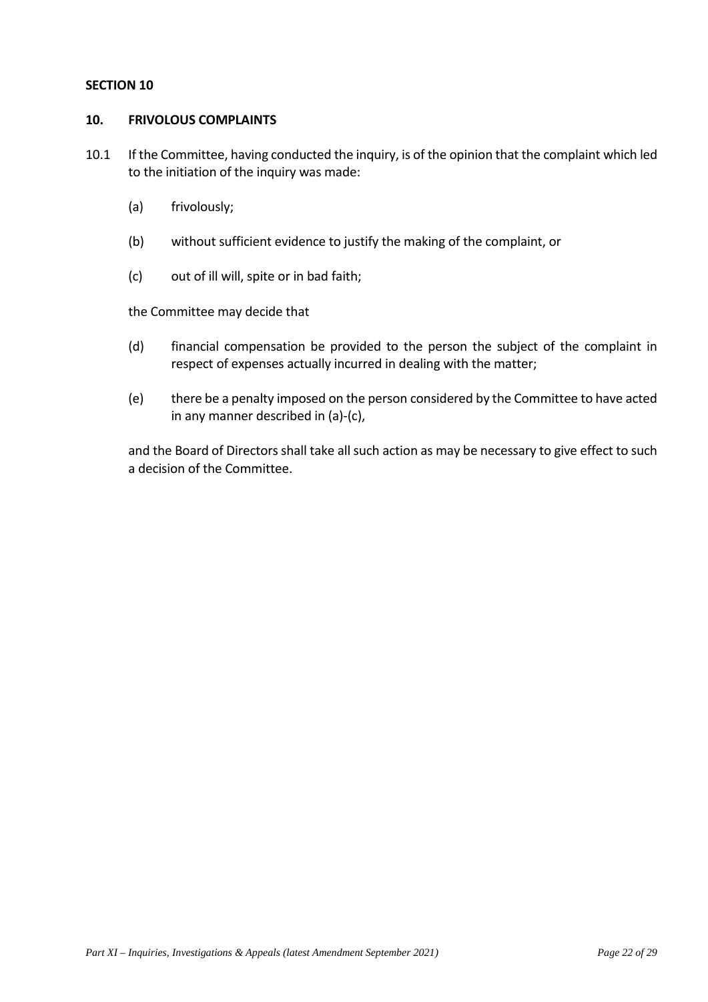## **10. FRIVOLOUS COMPLAINTS**

10.1 If the Committee, having conducted the inquiry, is of the opinion that the complaint which led to the initiation of the inquiry was made:

- (a) frivolously;
- (b) without sufficient evidence to justify the making of the complaint, or
- (c) out of ill will, spite or in bad faith;

the Committee may decide that

- (d) financial compensation be provided to the person the subject of the complaint in respect of expenses actually incurred in dealing with the matter;
- (e) there be a penalty imposed on the person considered by the Committee to have acted in any manner described in (a)-(c),

and the Board of Directors shall take all such action as may be necessary to give effect to such a decision of the Committee.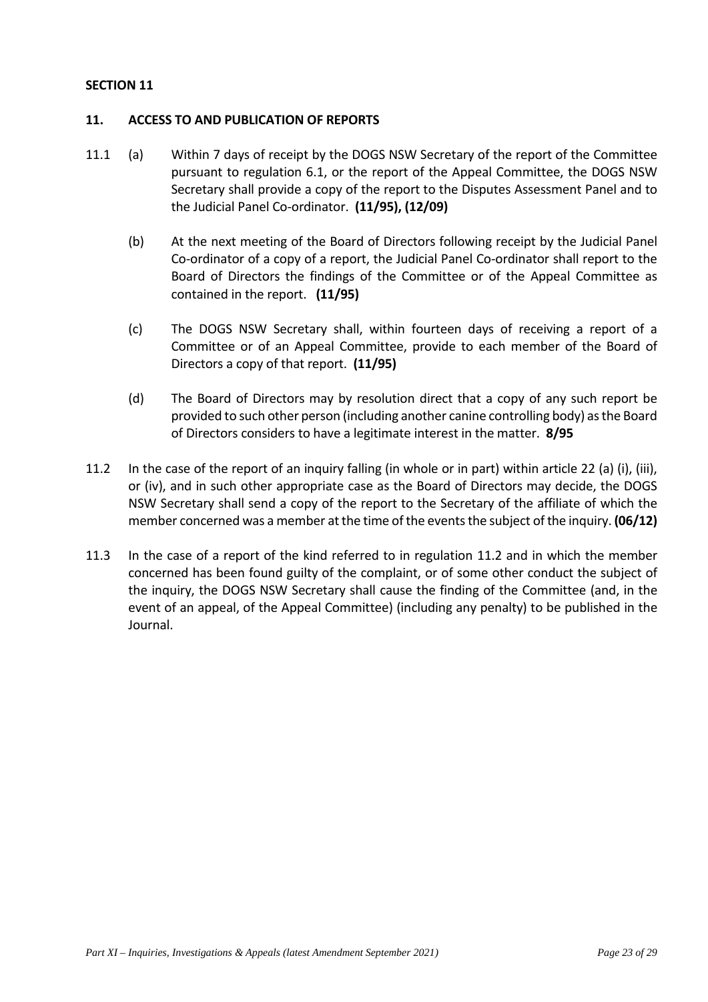## **11. ACCESS TO AND PUBLICATION OF REPORTS**

- 11.1 (a) Within 7 days of receipt by the DOGS NSW Secretary of the report of the Committee pursuant to regulation 6.1, or the report of the Appeal Committee, the DOGS NSW Secretary shall provide a copy of the report to the Disputes Assessment Panel and to the Judicial Panel Co-ordinator. **(11/95), (12/09)**
	- (b) At the next meeting of the Board of Directors following receipt by the Judicial Panel Co-ordinator of a copy of a report, the Judicial Panel Co-ordinator shall report to the Board of Directors the findings of the Committee or of the Appeal Committee as contained in the report. **(11/95)**
	- (c) The DOGS NSW Secretary shall, within fourteen days of receiving a report of a Committee or of an Appeal Committee, provide to each member of the Board of Directors a copy of that report. **(11/95)**
	- (d) The Board of Directors may by resolution direct that a copy of any such report be provided to such other person (including another canine controlling body) as the Board of Directors considers to have a legitimate interest in the matter. **8/95**
- 11.2 In the case of the report of an inquiry falling (in whole or in part) within article 22 (a) (i), (iii), or (iv), and in such other appropriate case as the Board of Directors may decide, the DOGS NSW Secretary shall send a copy of the report to the Secretary of the affiliate of which the member concerned was a member at the time of the events the subject of the inquiry. **(06/12)**
- 11.3 In the case of a report of the kind referred to in regulation 11.2 and in which the member concerned has been found guilty of the complaint, or of some other conduct the subject of the inquiry, the DOGS NSW Secretary shall cause the finding of the Committee (and, in the event of an appeal, of the Appeal Committee) (including any penalty) to be published in the Journal.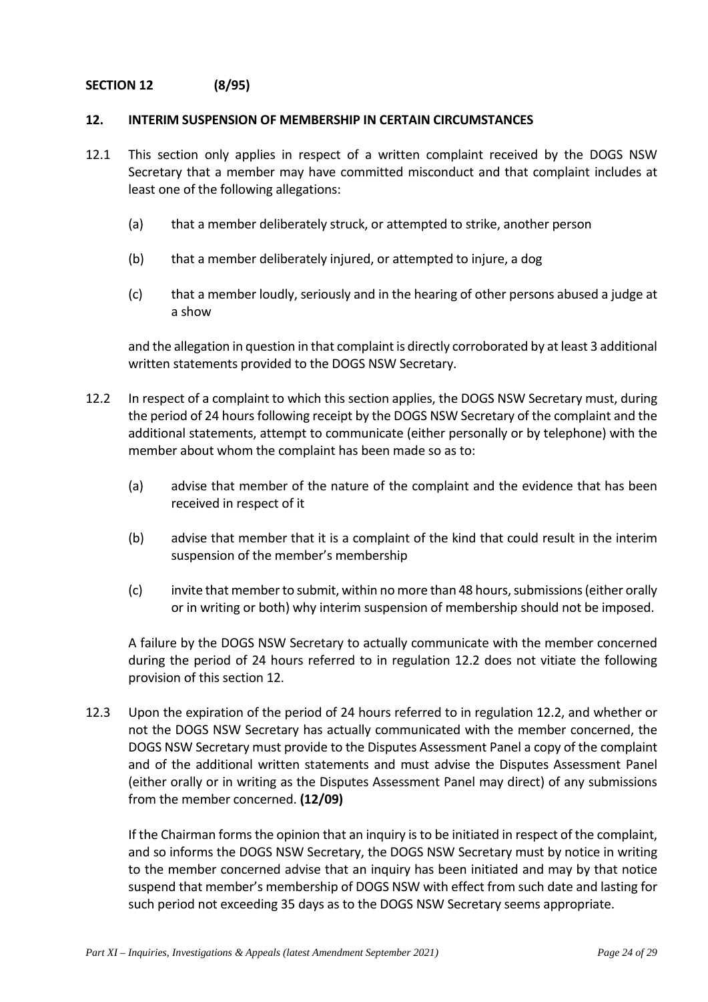# **SECTION 12 (8/95)**

## **12. INTERIM SUSPENSION OF MEMBERSHIP IN CERTAIN CIRCUMSTANCES**

- 12.1 This section only applies in respect of a written complaint received by the DOGS NSW Secretary that a member may have committed misconduct and that complaint includes at least one of the following allegations:
	- (a) that a member deliberately struck, or attempted to strike, another person
	- (b) that a member deliberately injured, or attempted to injure, a dog
	- (c) that a member loudly, seriously and in the hearing of other persons abused a judge at a show

and the allegation in question in that complaint is directly corroborated by at least 3 additional written statements provided to the DOGS NSW Secretary.

- 12.2 In respect of a complaint to which this section applies, the DOGS NSW Secretary must, during the period of 24 hours following receipt by the DOGS NSW Secretary of the complaint and the additional statements, attempt to communicate (either personally or by telephone) with the member about whom the complaint has been made so as to:
	- (a) advise that member of the nature of the complaint and the evidence that has been received in respect of it
	- (b) advise that member that it is a complaint of the kind that could result in the interim suspension of the member's membership
	- (c) invite that member to submit, within no more than 48 hours, submissions (either orally or in writing or both) why interim suspension of membership should not be imposed.

A failure by the DOGS NSW Secretary to actually communicate with the member concerned during the period of 24 hours referred to in regulation 12.2 does not vitiate the following provision of this section 12.

12.3 Upon the expiration of the period of 24 hours referred to in regulation 12.2, and whether or not the DOGS NSW Secretary has actually communicated with the member concerned, the DOGS NSW Secretary must provide to the Disputes Assessment Panel a copy of the complaint and of the additional written statements and must advise the Disputes Assessment Panel (either orally or in writing as the Disputes Assessment Panel may direct) of any submissions from the member concerned. **(12/09)**

If the Chairman forms the opinion that an inquiry is to be initiated in respect of the complaint, and so informs the DOGS NSW Secretary, the DOGS NSW Secretary must by notice in writing to the member concerned advise that an inquiry has been initiated and may by that notice suspend that member's membership of DOGS NSW with effect from such date and lasting for such period not exceeding 35 days as to the DOGS NSW Secretary seems appropriate.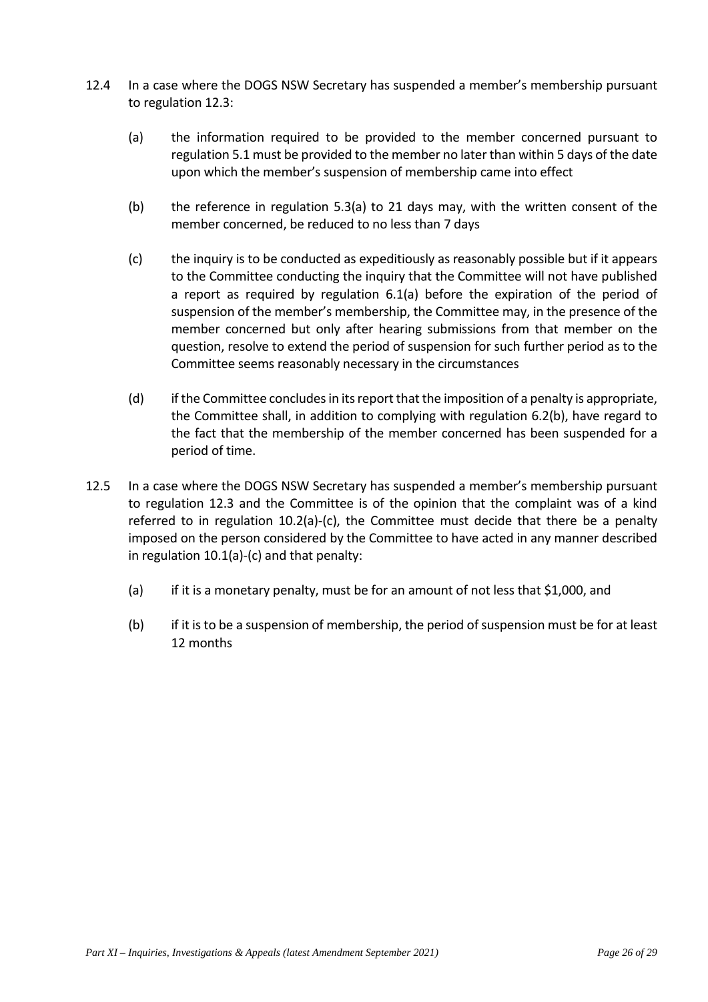- 12.4 In a case where the DOGS NSW Secretary has suspended a member's membership pursuant to regulation 12.3:
	- (a) the information required to be provided to the member concerned pursuant to regulation 5.1 must be provided to the member no later than within 5 days of the date upon which the member's suspension of membership came into effect
	- (b) the reference in regulation 5.3(a) to 21 days may, with the written consent of the member concerned, be reduced to no less than 7 days
	- (c) the inquiry is to be conducted as expeditiously as reasonably possible but if it appears to the Committee conducting the inquiry that the Committee will not have published a report as required by regulation 6.1(a) before the expiration of the period of suspension of the member's membership, the Committee may, in the presence of the member concerned but only after hearing submissions from that member on the question, resolve to extend the period of suspension for such further period as to the Committee seems reasonably necessary in the circumstances
	- (d) if the Committee concludes in its report that the imposition of a penalty is appropriate, the Committee shall, in addition to complying with regulation 6.2(b), have regard to the fact that the membership of the member concerned has been suspended for a period of time.
- 12.5 In a case where the DOGS NSW Secretary has suspended a member's membership pursuant to regulation 12.3 and the Committee is of the opinion that the complaint was of a kind referred to in regulation  $10.2(a)-(c)$ , the Committee must decide that there be a penalty imposed on the person considered by the Committee to have acted in any manner described in regulation 10.1(a)-(c) and that penalty:
	- (a) if it is a monetary penalty, must be for an amount of not less that \$1,000, and
	- (b) if it is to be a suspension of membership, the period of suspension must be for at least 12 months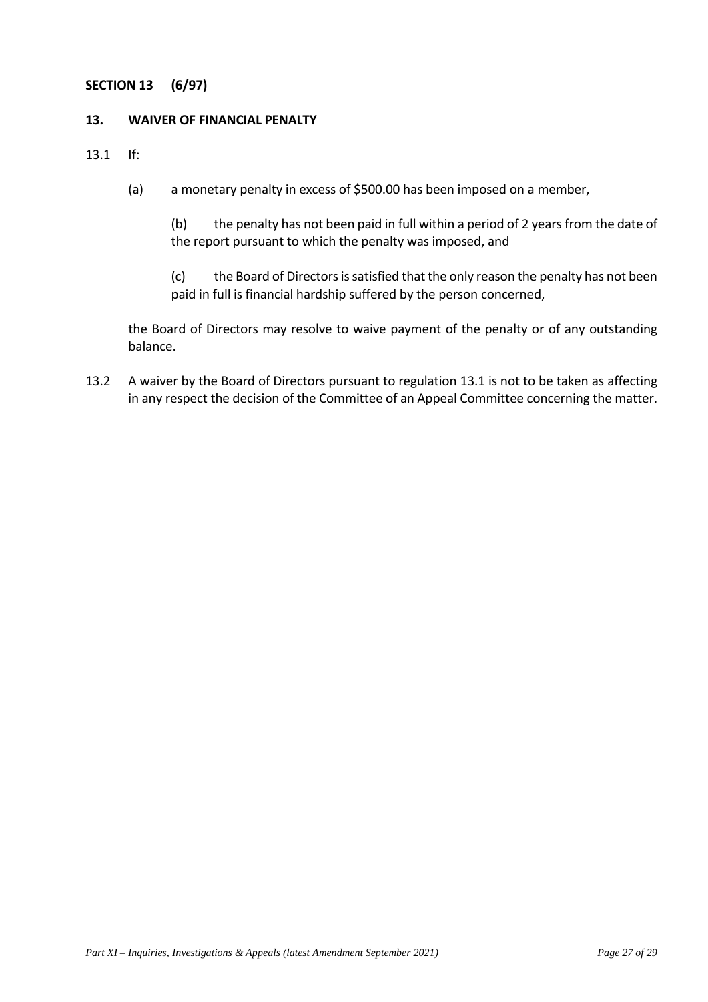# **SECTION 13 (6/97)**

## **13. WAIVER OF FINANCIAL PENALTY**

13.1 If:

(a) a monetary penalty in excess of \$500.00 has been imposed on a member,

(b) the penalty has not been paid in full within a period of 2 years from the date of the report pursuant to which the penalty was imposed, and

(c) the Board of Directors is satisfied that the only reason the penalty has not been paid in full is financial hardship suffered by the person concerned,

the Board of Directors may resolve to waive payment of the penalty or of any outstanding balance.

13.2 A waiver by the Board of Directors pursuant to regulation 13.1 is not to be taken as affecting in any respect the decision of the Committee of an Appeal Committee concerning the matter.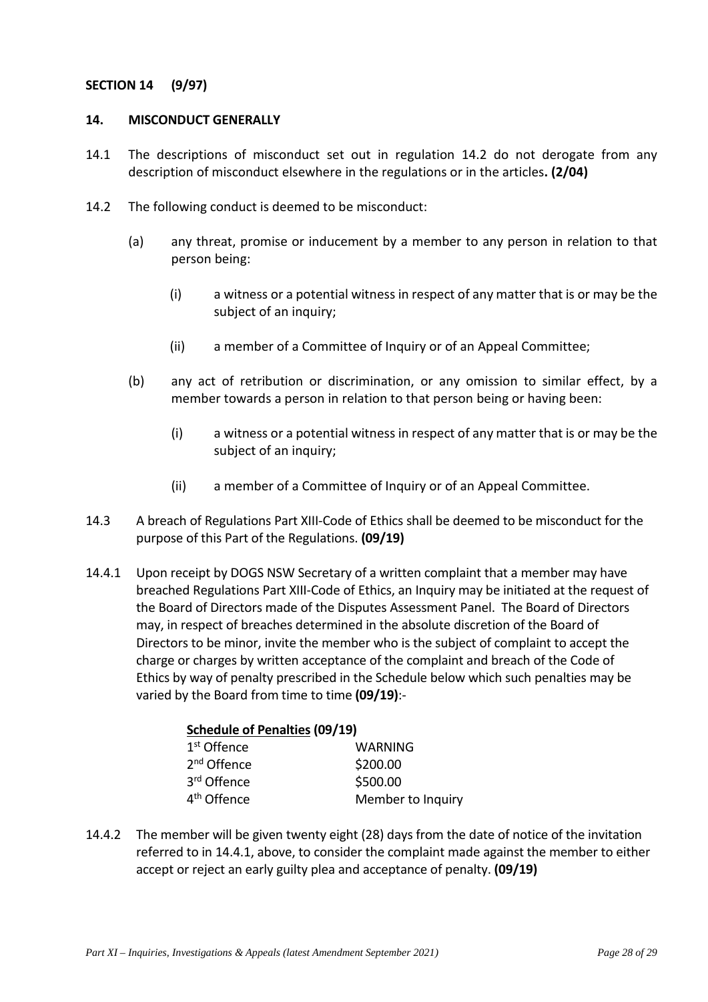# **SECTION 14 (9/97)**

## **14. MISCONDUCT GENERALLY**

- 14.1 The descriptions of misconduct set out in regulation 14.2 do not derogate from any description of misconduct elsewhere in the regulations or in the articles**. (2/04)**
- 14.2 The following conduct is deemed to be misconduct:
	- (a) any threat, promise or inducement by a member to any person in relation to that person being:
		- (i) a witness or a potential witness in respect of any matter that is or may be the subject of an inquiry;
		- (ii) a member of a Committee of Inquiry or of an Appeal Committee;
	- (b) any act of retribution or discrimination, or any omission to similar effect, by a member towards a person in relation to that person being or having been:
		- (i) a witness or a potential witness in respect of any matter that is or may be the subject of an inquiry;
		- (ii) a member of a Committee of Inquiry or of an Appeal Committee.
- 14.3 A breach of Regulations Part XIII-Code of Ethics shall be deemed to be misconduct for the purpose of this Part of the Regulations. **(09/19)**
- 14.4.1 Upon receipt by DOGS NSW Secretary of a written complaint that a member may have breached Regulations Part XIII-Code of Ethics, an Inquiry may be initiated at the request of the Board of Directors made of the Disputes Assessment Panel. The Board of Directors may, in respect of breaches determined in the absolute discretion of the Board of Directors to be minor, invite the member who is the subject of complaint to accept the charge or charges by written acceptance of the complaint and breach of the Code of Ethics by way of penalty prescribed in the Schedule below which such penalties may be varied by the Board from time to time **(09/19)**:-

| <b>Schedule of Penalties (09/19)</b> |                   |  |
|--------------------------------------|-------------------|--|
| 1 <sup>st</sup> Offence              | WARNING           |  |
| 2 <sup>nd</sup> Offence              | \$200.00          |  |
| 3rd Offence                          | \$500.00          |  |
| 4 <sup>th</sup> Offence              | Member to Inquiry |  |

14.4.2 The member will be given twenty eight (28) days from the date of notice of the invitation referred to in 14.4.1, above, to consider the complaint made against the member to either accept or reject an early guilty plea and acceptance of penalty. **(09/19)**